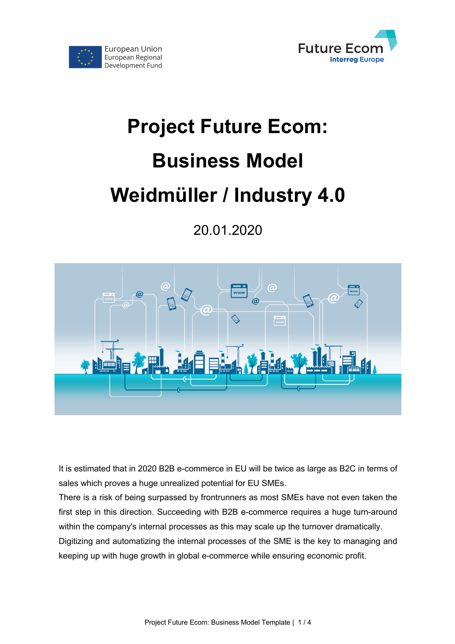

# **Project Future Ecom: Business Model Weidmüller / Industry 4.0**

European Union European Regional

Development Fund

20.01.2020



It is estimated that in 2020 B2B e-commerce in EU will be twice as large as B2C in terms of sales which proves a huge unrealized potential for EU SMEs.

There is a risk of being surpassed by frontrunners as most SMEs have not even taken the first step in this direction. Succeeding with B2B e-commerce requires a huge turn-around within the company's internal processes as this may scale up the turnover dramatically. Digitizing and automatizing the internal processes of the SME is the key to managing and keeping up with huge growth in global e-commerce while ensuring economic profit.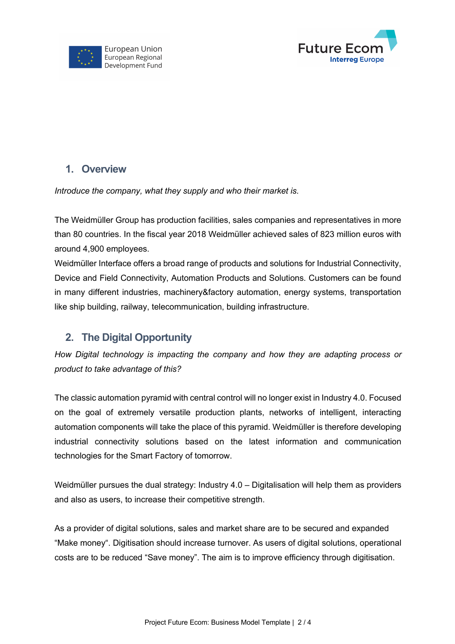



#### **1. Overview**

*Introduce the company, what they supply and who their market is.* 

The Weidmüller Group has production facilities, sales companies and representatives in more than 80 countries. In the fiscal year 2018 Weidmüller achieved sales of 823 million euros with around 4,900 employees.

Weidmüller Interface offers a broad range of products and solutions for Industrial Connectivity, Device and Field Connectivity, Automation Products and Solutions. Customers can be found in many different industries, machinery&factory automation, energy systems, transportation like ship building, railway, telecommunication, building infrastructure.

## **2. The Digital Opportunity**

*How Digital technology is impacting the company and how they are adapting process or product to take advantage of this?*

The classic automation pyramid with central control will no longer exist in Industry 4.0. Focused on the goal of extremely versatile production plants, networks of intelligent, interacting automation components will take the place of this pyramid. Weidmüller is therefore developing industrial connectivity solutions based on the latest information and communication technologies for the Smart Factory of tomorrow.

Weidmüller pursues the dual strategy: Industry 4.0 – Digitalisation will help them as providers and also as users, to increase their competitive strength.

As a provider of digital solutions, sales and market share are to be secured and expanded "Make money". Digitisation should increase turnover. As users of digital solutions, operational costs are to be reduced "Save money". The aim is to improve efficiency through digitisation.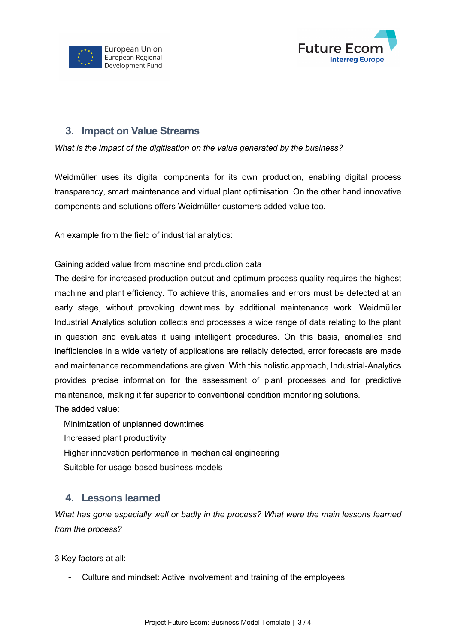



### **3. Impact on Value Streams**

*What is the impact of the digitisation on the value generated by the business?*

Weidmüller uses its digital components for its own production, enabling digital process transparency, smart maintenance and virtual plant optimisation. On the other hand innovative components and solutions offers Weidmüller customers added value too.

An example from the field of industrial analytics:

Gaining added value from machine and production data

The desire for increased production output and optimum process quality requires the highest machine and plant efficiency. To achieve this, anomalies and errors must be detected at an early stage, without provoking downtimes by additional maintenance work. Weidmüller Industrial Analytics solution collects and processes a wide range of data relating to the plant in question and evaluates it using intelligent procedures. On this basis, anomalies and inefficiencies in a wide variety of applications are reliably detected, error forecasts are made and maintenance recommendations are given. With this holistic approach, Industrial-Analytics provides precise information for the assessment of plant processes and for predictive maintenance, making it far superior to conventional condition monitoring solutions.

The added value:

Minimization of unplanned downtimes

Increased plant productivity

Higher innovation performance in mechanical engineering

Suitable for usage-based business models

#### **4. Lessons learned**

*What has gone especially well or badly in the process? What were the main lessons learned from the process?*

3 Key factors at all:

- Culture and mindset: Active involvement and training of the employees